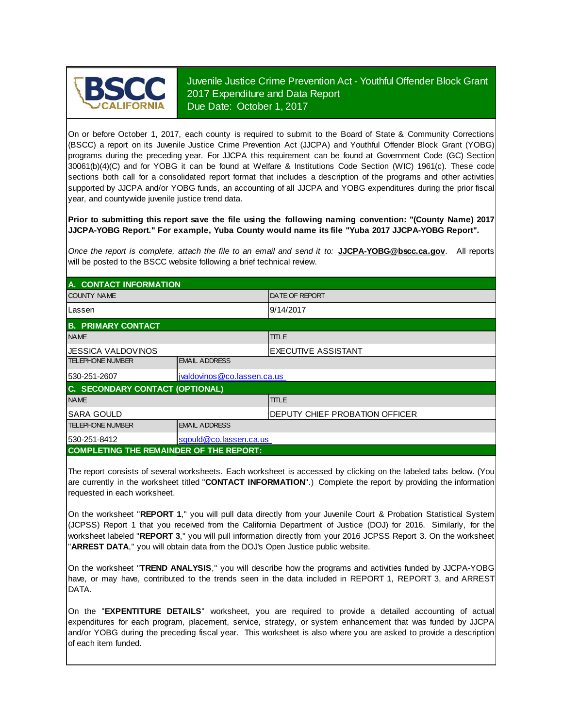

Juvenile Justice Crime Prevention Act - Youthful Offender Block Grant 2017 Expenditure and Data Report Due Date: October 1, 2017

On or before October 1, 2017, each county is required to submit to the Board of State & Community Corrections (BSCC) <sup>a</sup> report on its Juvenile Justice Crime Prevention Act (JJCPA) and Youthful Offender Block Grant (YOBG) programs during the preceding year. For JJCPA this requirement can be found at Government Code (GC) Section 30061(b)(4)(C) and for YOBG it can be found at Welfare & Institutions Code Section (WIC) 1961(c). These code sections both call for <sup>a</sup> consolidated report format that includes <sup>a</sup> description of the programs and other activities supported by JJCPA and/or YOBG funds, an accounting of all JJCPA and YOBG expenditures during the prior fiscal year, and countywide juvenile justice trend data.

**Prior to submitting this report save the file using the following naming convention: "(County Name) 2017 JJCPA-YOBG Report." For example, Yuba County would name its file "Yuba 2017 JJCPA-YOBG Report".**

*Once the report is complete, attach the file t o an email and send it to:* **JJCPA-YOBG@bscc.ca.gov**. All reports will be posted to the BSCC website following a brief technical review.

| A. CONTACT INFORMATION                         |                             |                                 |  |
|------------------------------------------------|-----------------------------|---------------------------------|--|
| <b>COUNTY NAME</b>                             |                             | <b>IDATE OF REPORT</b>          |  |
| Lassen                                         |                             | 9/14/2017                       |  |
| <b>B. PRIMARY CONTACT</b>                      |                             |                                 |  |
| <b>NAME</b>                                    |                             | <b>TITLE</b>                    |  |
| IJESSICA VALDOVINOS                            | EXECUTIVE ASSISTANT         |                                 |  |
| <b>TELEPHONE NUMBER</b>                        | <b>EMAIL ADDRESS</b>        |                                 |  |
| 530-251-2607                                   | jvaldovinos@co.lassen.ca.us |                                 |  |
| C. SECONDARY CONTACT (OPTIONAL)                |                             |                                 |  |
| <b>NAME</b>                                    |                             | <b>TITLE</b>                    |  |
| <b>SARA GOULD</b>                              |                             | IDEPUTY CHIEF PROBATION OFFICER |  |
| <b>TELEPHONE NUMBER</b>                        | <b>EMAIL ADDRESS</b>        |                                 |  |
| 530-251-8412                                   | sgould@co.lassen.ca.us      |                                 |  |
| <b>COMPLETING THE REMAINDER OF THE REPORT:</b> |                             |                                 |  |

The report consists of several worksheets. Each worksheet is accessed by clicking on the labeled tabs below. (You are currently in the worksheet titled "**CONTACT INFORMATION**".) Complete the report by providing the information requested in each worksheet.

On the worksheet "**REPORT 1**, " you will pull data directly from your Juvenile Court & Probation Statistical System (JCPSS) Report 1 that you received from the California Department of Justice (DOJ) for 2016. Similarly, for the worksheet labeled "**REPORT 3**, " you will pull information directly from your 2016 JCPSS Report 3. On the worksheet "**ARREST DATA**," you will obtain data from the DOJ's Open Justice public website.

On the worksheet "**TREND ANALYSIS**, " you will describe how the programs and activities funded by JJCPA-YOBG have, or may have, contributed to the trends seen in the data included in REPORT 1, REPORT 3, and ARREST DATA.

On the "EXPENTITURE DETAILS" worksheet, you are required to provide a detailed accounting of actual expenditures for each program, placement, service, strategy, or system enhancement that was funded by JJCPA and/or YOBG during the preceding fiscal year. This worksheet is also where you are asked to provide a description of each item funded.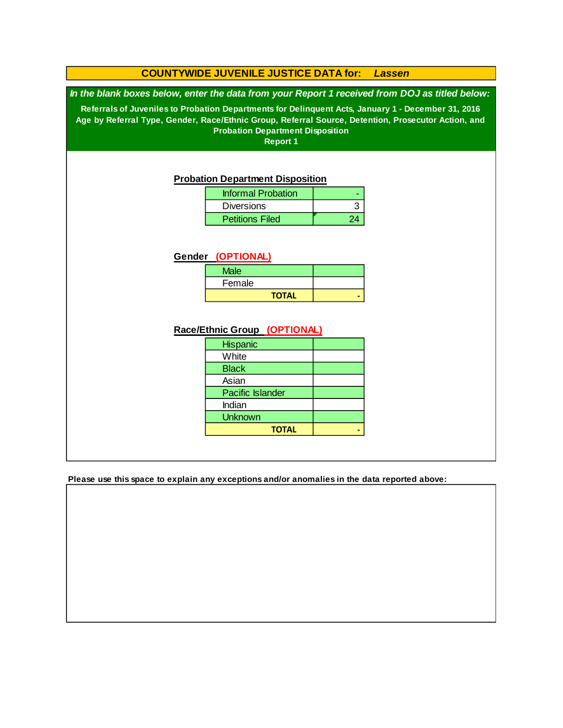### **COUNTYWIDE JUVENILE JUSTICE DATA for:** *Lassen*

*In the blank boxes below, enter the data from your Report 1 received from DOJ as titled below:*

**Referrals of Juveniles to Probation Departments for Delinquent Acts, January 1 - December 31, 2016 Age by Referral Type, Gender, Race/Ethnic Group, Referral Source, Detention, Prosecutor Action, and Probation Department Disposition**

**Report 1**

#### **Probation Department Disposition**

| <b>Informal Probation</b> |  |
|---------------------------|--|
| <b>Diversions</b>         |  |
| <b>Petitions Filed</b>    |  |

#### **Gender (OPTIONAL)**

| <b>Male</b>  |  |
|--------------|--|
| Female       |  |
| <b>TOTAL</b> |  |

### **Race/Ethnic Group (OPTIONAL)**

| <b>Hispanic</b>         |  |
|-------------------------|--|
| White                   |  |
| <b>Black</b>            |  |
| Asian                   |  |
| <b>Pacific Islander</b> |  |
| Indian                  |  |
| <b>Unknown</b>          |  |
| <b>TOTAL</b>            |  |

**Please use this space to explain any exceptions and/or anomalies in the data reported above:**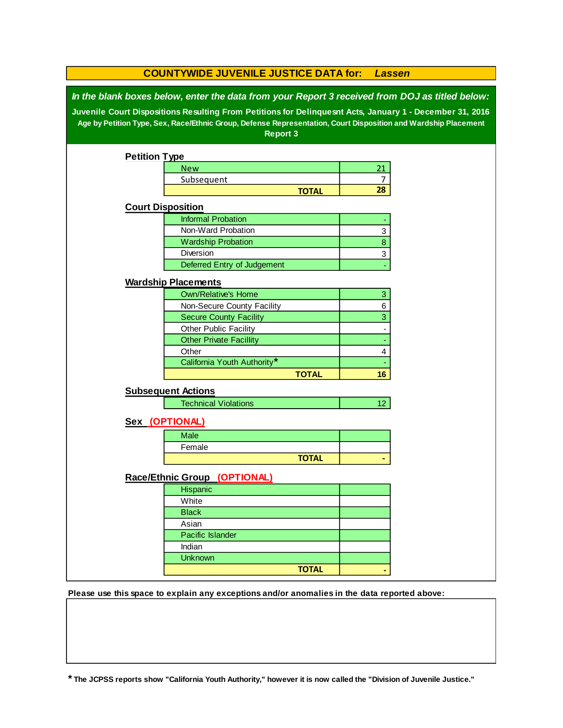| <b>COUNTYWIDE JUVENILE JUSTICE DATA for:</b><br><b>Lassen</b>                                                                                                                                                                                                                                                                            |                                |              |                 |  |  |  |
|------------------------------------------------------------------------------------------------------------------------------------------------------------------------------------------------------------------------------------------------------------------------------------------------------------------------------------------|--------------------------------|--------------|-----------------|--|--|--|
| In the blank boxes below, enter the data from your Report 3 received from DOJ as titled below:<br>Juvenile Court Dispositions Resulting From Petitions for Delinquesnt Acts, January 1 - December 31, 2016<br>Age by Petition Type, Sex, Race/Ethnic Group, Defense Representation, Court Disposition and Wardship Placement<br>Report 3 |                                |              |                 |  |  |  |
| <b>Petition Type</b>                                                                                                                                                                                                                                                                                                                     |                                |              |                 |  |  |  |
|                                                                                                                                                                                                                                                                                                                                          | <b>New</b>                     |              | 21              |  |  |  |
|                                                                                                                                                                                                                                                                                                                                          | Subsequent                     |              | 7               |  |  |  |
|                                                                                                                                                                                                                                                                                                                                          |                                | <b>TOTAL</b> | 28              |  |  |  |
|                                                                                                                                                                                                                                                                                                                                          | <b>Court Disposition</b>       |              |                 |  |  |  |
|                                                                                                                                                                                                                                                                                                                                          | <b>Informal Probation</b>      |              |                 |  |  |  |
|                                                                                                                                                                                                                                                                                                                                          | Non-Ward Probation             |              | 3               |  |  |  |
|                                                                                                                                                                                                                                                                                                                                          | <b>Wardship Probation</b>      |              | $\bf 8$         |  |  |  |
|                                                                                                                                                                                                                                                                                                                                          | Diversion                      |              | 3               |  |  |  |
|                                                                                                                                                                                                                                                                                                                                          | Deferred Entry of Judgement    |              |                 |  |  |  |
|                                                                                                                                                                                                                                                                                                                                          | <b>Wardship Placements</b>     |              |                 |  |  |  |
|                                                                                                                                                                                                                                                                                                                                          | <b>Own/Relative's Home</b>     |              | 3               |  |  |  |
|                                                                                                                                                                                                                                                                                                                                          | Non-Secure County Facility     |              | 6               |  |  |  |
|                                                                                                                                                                                                                                                                                                                                          | <b>Secure County Facility</b>  |              | 3               |  |  |  |
|                                                                                                                                                                                                                                                                                                                                          | Other Public Facility          |              |                 |  |  |  |
|                                                                                                                                                                                                                                                                                                                                          | <b>Other Private Facillity</b> |              |                 |  |  |  |
|                                                                                                                                                                                                                                                                                                                                          | Other                          |              | $\overline{4}$  |  |  |  |
|                                                                                                                                                                                                                                                                                                                                          | California Youth Authority*    |              |                 |  |  |  |
|                                                                                                                                                                                                                                                                                                                                          |                                | <b>TOTAL</b> | 16              |  |  |  |
|                                                                                                                                                                                                                                                                                                                                          | <b>Subsequent Actions</b>      |              |                 |  |  |  |
|                                                                                                                                                                                                                                                                                                                                          | <b>Technical Violations</b>    |              | 12 <sub>2</sub> |  |  |  |
|                                                                                                                                                                                                                                                                                                                                          |                                |              |                 |  |  |  |
|                                                                                                                                                                                                                                                                                                                                          | Sex (OPTIONAL)                 |              |                 |  |  |  |
|                                                                                                                                                                                                                                                                                                                                          | Male                           |              |                 |  |  |  |
|                                                                                                                                                                                                                                                                                                                                          | Female                         |              |                 |  |  |  |
|                                                                                                                                                                                                                                                                                                                                          |                                | <b>TOTAL</b> |                 |  |  |  |
|                                                                                                                                                                                                                                                                                                                                          | Race/Ethnic Group (OPTIONAL)   |              |                 |  |  |  |
|                                                                                                                                                                                                                                                                                                                                          | Hispanic                       |              |                 |  |  |  |
|                                                                                                                                                                                                                                                                                                                                          | White                          |              |                 |  |  |  |
|                                                                                                                                                                                                                                                                                                                                          | <b>Black</b>                   |              |                 |  |  |  |
|                                                                                                                                                                                                                                                                                                                                          | Asian                          |              |                 |  |  |  |
|                                                                                                                                                                                                                                                                                                                                          | Pacific Islander               |              |                 |  |  |  |
|                                                                                                                                                                                                                                                                                                                                          | Indian                         |              |                 |  |  |  |
|                                                                                                                                                                                                                                                                                                                                          | <b>Unknown</b>                 |              |                 |  |  |  |
|                                                                                                                                                                                                                                                                                                                                          |                                | <b>TOTAL</b> |                 |  |  |  |

**Please use this space to explain any exceptions and/or anomalies in the data reported above:** 

**\* The JCPSS reports show "California Youth Authority," however it is now called the "Division of Juvenile Justice."**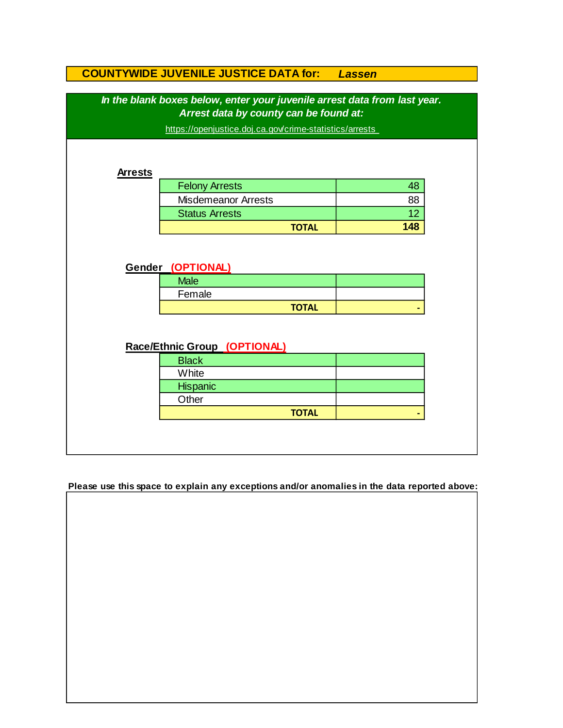|                | <b>COUNTYWIDE JUVENILE JUSTICE DATA for:</b>                              | <b>Lassen</b> |
|----------------|---------------------------------------------------------------------------|---------------|
|                | In the blank boxes below, enter your juvenile arrest data from last year. |               |
|                | Arrest data by county can be found at:                                    |               |
|                | https://openjustice.doj.ca.gov/crime-statistics/arrests                   |               |
|                |                                                                           |               |
| <b>Arrests</b> |                                                                           |               |
|                | <b>Felony Arrests</b>                                                     | 48            |
|                | <b>Misdemeanor Arrests</b>                                                | 88            |
|                | <b>Status Arrests</b>                                                     | 12            |
|                | <b>TOTAL</b>                                                              | 148           |
|                | Gender (OPTIONAL)                                                         |               |
|                | <b>Male</b>                                                               |               |
|                | Female                                                                    |               |
|                | <b>TOTAL</b>                                                              |               |
|                | Race/Ethnic Group (OPTIONAL)                                              |               |
|                | <b>Black</b>                                                              |               |
|                | White                                                                     |               |
|                | Hispanic                                                                  |               |
|                | Other<br><b>TOTAL</b>                                                     |               |

**Please use this space to explain any exceptions and/or anomalies in the data reported above:**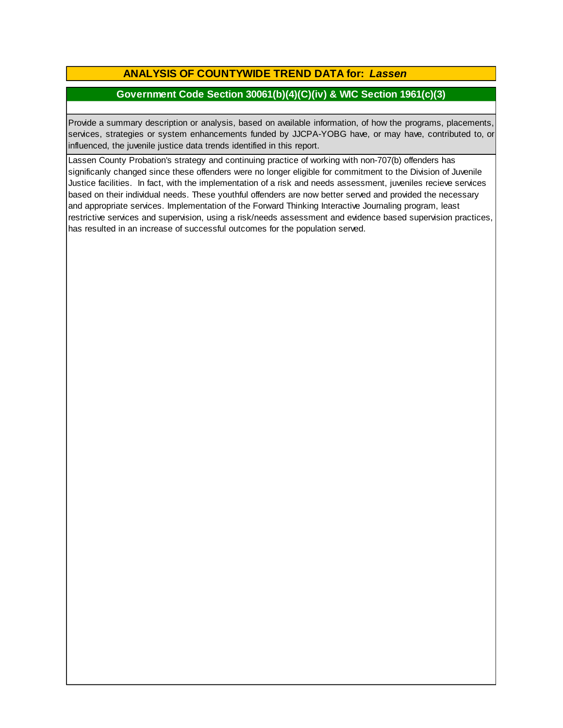# **ANALYSIS OF COUNTYWIDE TREND DATA for:** *Lassen*

### **Government Code Section 30061(b)(4)(C)(iv) & WIC Section 1961(c)(3)**

Provide <sup>a</sup> summary description or analysis, based on available information, of how the programs, placements, services, strategies or system enhancements funded by JJCPA-YOBG have, or may have, contributed to, or influenced, the juvenile justice data trends identified in this report.

Lassen County Probation's strategy and continuing practice of working with non-707(b) offenders has significanly changed since these offenders were no longer eligible for commitment to the Division of Juvenile Justice facilities. In fact, with the implementation of a risk and needs assessment, juveniles recieve services based on their individual needs. These youthful offenders are now better served and provided the necessary and appropriate services. Implementation of the Forward Thinking Interactive Journaling program, least restrictive services and supervision, using a risk/needs assessment and evidence based supervision practices, has resulted in an increase of successful outcomes for the population served.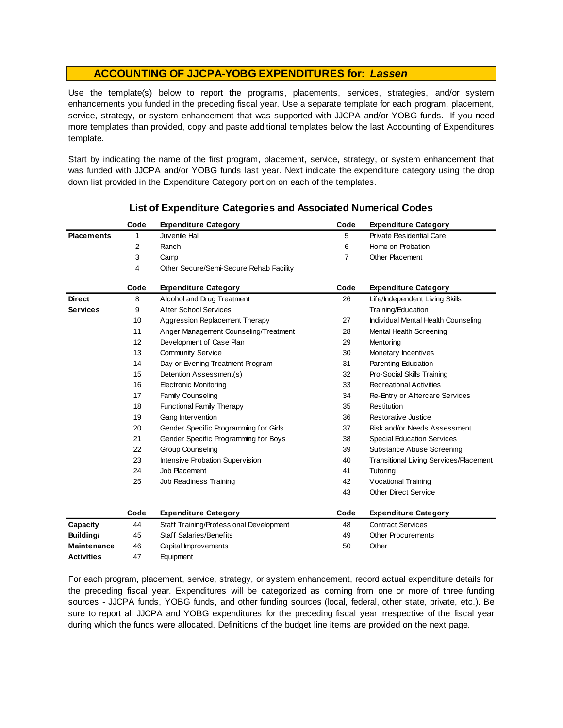Use the template(s) below to report the programs, placements, services, strategies, and/or system enhancements you funded in the preceding fiscal year. Use <sup>a</sup> separate template for each program, placement, service, strategy, or system enhancement that was supported with JJCPA and/or YOBG funds. If you need more templates than provided, copy and paste additional templates below the last Accounting of Expenditures template.

Start by indicating the name of the first program, placement, service, strategy, or system enhancement that was funded with JJCPA and/or YOBG funds last year. Next indicate the expenditure category using the drop down list provided in the Expenditure Category portion on each of the templates.

|                    | Code | <b>Expenditure Category</b>             | Code | <b>Expenditure Category</b>                   |
|--------------------|------|-----------------------------------------|------|-----------------------------------------------|
| <b>Placements</b>  | 1    | Juvenile Hall                           | 5    | <b>Private Residential Care</b>               |
|                    | 2    | Ranch                                   | 6    | Home on Probation                             |
|                    | 3    | Camp                                    | 7    | Other Placement                               |
|                    | 4    | Other Secure/Semi-Secure Rehab Facility |      |                                               |
|                    | Code | <b>Expenditure Category</b>             | Code | <b>Expenditure Category</b>                   |
| <b>Direct</b>      | 8    | Alcohol and Drug Treatment              | 26   | Life/Independent Living Skills                |
| <b>Services</b>    | 9    | <b>After School Services</b>            |      | Training/Education                            |
|                    | 10   | Aggression Replacement Therapy          | 27   | Individual Mental Health Counseling           |
|                    | 11   | Anger Management Counseling/Treatment   | 28   | Mental Health Screening                       |
|                    | 12   | Development of Case Plan                | 29   | Mentoring                                     |
|                    | 13   | <b>Community Service</b>                | 30   | Monetary Incentives                           |
|                    | 14   | Day or Evening Treatment Program        | 31   | Parenting Education                           |
|                    | 15   | Detention Assessment(s)                 | 32   | Pro-Social Skills Training                    |
|                    | 16   | <b>Electronic Monitoring</b>            | 33   | <b>Recreational Activities</b>                |
|                    | 17   | Family Counseling                       | 34   | Re-Entry or Aftercare Services                |
|                    | 18   | <b>Functional Family Therapy</b>        | 35   | Restitution                                   |
|                    | 19   | Gang Intervention                       | 36   | Restorative Justice                           |
|                    | 20   | Gender Specific Programming for Girls   | 37   | Risk and/or Needs Assessment                  |
|                    | 21   | Gender Specific Programming for Boys    | 38   | <b>Special Education Services</b>             |
|                    | 22   | <b>Group Counseling</b>                 | 39   | Substance Abuse Screening                     |
|                    | 23   | Intensive Probation Supervision         | 40   | <b>Transitional Living Services/Placement</b> |
|                    | 24   | Job Placement                           | 41   | Tutoring                                      |
|                    | 25   | Job Readiness Training                  | 42   | <b>Vocational Training</b>                    |
|                    |      |                                         | 43   | <b>Other Direct Service</b>                   |
|                    | Code | <b>Expenditure Category</b>             | Code | <b>Expenditure Category</b>                   |
| Capacity           | 44   | Staff Training/Professional Development | 48   | <b>Contract Services</b>                      |
| Building/          | 45   | <b>Staff Salaries/Benefits</b>          | 49   | <b>Other Procurements</b>                     |
| <b>Maintenance</b> | 46   | Capital Improvements                    | 50   | Other                                         |
| Activities         | 47   | Equipment                               |      |                                               |

### **List of Expenditure Categories and Associated Numerical Codes**

For each program, placement, service, strategy, or system enhancement, record actual expenditure details for the preceding fiscal year. Expenditures will be categorized as coming from one or more of three funding sources - JJCPA funds, YOBG funds, and other funding sources (local, federal, other state, private, etc.). Be sure to report all JJCPA and YOBG expenditures for the preceding fiscal year irrespective of the fiscal year during which the funds were allocated. Definitions of the budget line items are provided on the next page.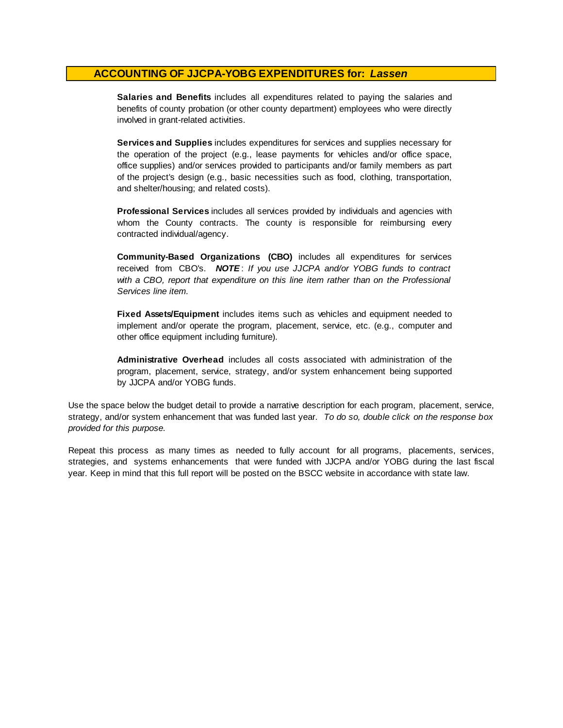**Salaries and Benefits** includes all expenditures related to paying the salaries and benefits of county probation (or other county department) employees who were directly involved in grant-related activities.

**Services and Supplies** includes expenditures for services and supplies necessary for the operation of the project (e.g., lease payments for vehicles and/or office space, office supplies) and/or services provided to participants and/or family members as part of the project's design (e.g., basic necessities such as food, clothing, transportation, and shelter/housing; and related costs).

**Professional Services** includes all services provided by individuals and agencies with whom the County contracts. The county is responsible for reimbursing every contracted individual/agency.

**Community-Based Organizations (CBO)** includes all expenditures for services received from CBO's. *NOTE* : *I f you use JJCPA and/or YOBG funds t o contract with <sup>a</sup> CBO, report that expenditure on this line item rather than on the Professional Services line item.*

**Fixed Assets/Equipment** includes items such as vehicles and equipment needed to implement and/or operate the program, placement, service, etc. (e.g., computer and other office equipment including furniture).

**Administrative Overhead** includes all costs associated with administration of the program, placement, service, strategy, and/or system enhancement being supported by JJCPA and/or YOBG funds.

Use the space below the budget detail to provide a narrative description for each program, placement, service, strategy, and/or system enhancement that was funded last year. *To do so, double click on the response box provided for this purpose.* 

Repeat this process as many times as needed to fully account for all programs, placements, services, strategies, and systems enhancements that were funded with JJCPA and/or YOBG during the last fiscal year. Keep in mind that this full report will be posted on the BSCC website in accordance with state law.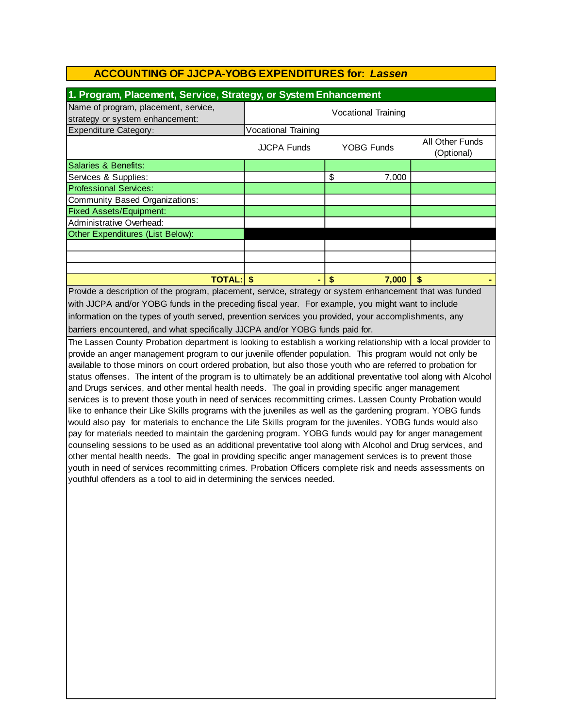| 1. Program, Placement, Service, Strategy, or System Enhancement                                       |                            |             |                               |  |  |  |
|-------------------------------------------------------------------------------------------------------|----------------------------|-------------|-------------------------------|--|--|--|
| Name of program, placement, service,<br>strategy or system enhancement:                               | <b>Vocational Training</b> |             |                               |  |  |  |
| <b>Expenditure Category:</b>                                                                          | <b>Vocational Training</b> |             |                               |  |  |  |
|                                                                                                       | <b>JJCPA Funds</b>         | YOBG Funds  | All Other Funds<br>(Optional) |  |  |  |
| <b>Salaries &amp; Benefits:</b>                                                                       |                            |             |                               |  |  |  |
| Services & Supplies:                                                                                  |                            | \$<br>7,000 |                               |  |  |  |
| <b>Professional Services:</b>                                                                         |                            |             |                               |  |  |  |
| <b>Community Based Organizations:</b>                                                                 |                            |             |                               |  |  |  |
| <b>Fixed Assets/Equipment:</b>                                                                        |                            |             |                               |  |  |  |
| Administrative Overhead:                                                                              |                            |             |                               |  |  |  |
| Other Expenditures (List Below):                                                                      |                            |             |                               |  |  |  |
|                                                                                                       |                            |             |                               |  |  |  |
|                                                                                                       |                            |             |                               |  |  |  |
|                                                                                                       |                            |             |                               |  |  |  |
| <b>TOTAL: \$</b><br>\$<br>7.000<br>S                                                                  |                            |             |                               |  |  |  |
| Drovide a description of the program placement, conice etrategy or quater ephoneoment that was funded |                            |             |                               |  |  |  |

Provide a description of the program, placement, service, strategy or system enhancement that was funded with JJCPA and/or YOBG funds in the preceding fiscal year. For example, you might want to include information on the types of youth served, prevention services you provided, your accomplishments, any barriers encountered, and what specifically JJCPA and/or YOBG funds paid for.

The Lassen County Probation department is looking to establish a working relationship with a local provider to provide an anger management program to our juvenile offender population. This program would not only be available to those minors on court ordered probation, but also those youth who are referred to probation for status offenses. The intent of the program is to ultimately be an additional preventative tool along with Alcohol and Drugs services, and other mental health needs. The goal in providing specific anger management services is to prevent those youth in need of services recommitting crimes. Lassen County Probation would like to enhance their Like Skills programs with the juveniles as well as the gardening program. YOBG funds would also pay for materials to enchance the Life Skills program for the juveniles. YOBG funds would also pay for materials needed to maintain the gardening program. YOBG funds would pay for anger management counseling sessions to be used as an additional preventative tool along with Alcohol and Drug services, and other mental health needs. The goal in providing specific anger management services is to prevent those youth in need of services recommitting crimes. Probation Officers complete risk and needs assessments on youthful offenders as a tool to aid in determining the services needed.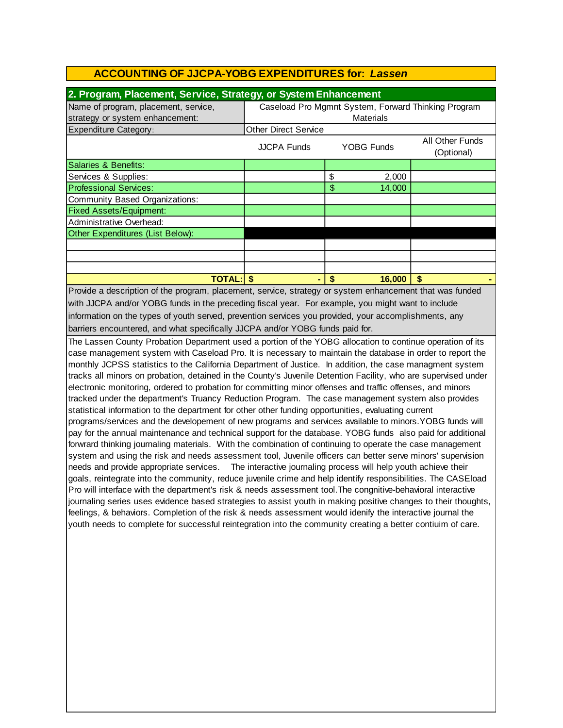| 2. Program, Placement, Service, Strategy, or System Enhancement |                                                                          |              |    |  |  |
|-----------------------------------------------------------------|--------------------------------------------------------------------------|--------------|----|--|--|
| Name of program, placement, service,                            | Caseload Pro Mgmnt System, Forward Thinking Program                      |              |    |  |  |
| strategy or system enhancement:                                 | Materials                                                                |              |    |  |  |
| <b>Expenditure Category:</b>                                    | <b>Other Direct Service</b>                                              |              |    |  |  |
|                                                                 | <b>All Other Funds</b><br>YOBG Funds<br><b>JJCPA Funds</b><br>(Optional) |              |    |  |  |
| Salaries & Benefits:                                            |                                                                          |              |    |  |  |
| Services & Supplies:                                            |                                                                          | \$<br>2,000  |    |  |  |
| <b>Professional Services:</b>                                   |                                                                          | \$<br>14,000 |    |  |  |
| Community Based Organizations:                                  |                                                                          |              |    |  |  |
| <b>Fixed Assets/Equipment:</b>                                  |                                                                          |              |    |  |  |
| Administrative Overhead:                                        |                                                                          |              |    |  |  |
| Other Expenditures (List Below):                                |                                                                          |              |    |  |  |
|                                                                 |                                                                          |              |    |  |  |
|                                                                 |                                                                          |              |    |  |  |
|                                                                 |                                                                          |              |    |  |  |
| TOTAL:l                                                         | \$.<br>۰                                                                 | 16.000<br>S  | \$ |  |  |

information on the types of youth served, prevention services you provided, your accomplishments, any barriers encountered, and what specifically JJCPA and/or YOBG funds paid for. Provide a description of the program, placement, service, strategy or system enhancement that was funded with JJCPA and/or YOBG funds in the preceding fiscal year. For example, you might want to include

The Lassen County Probation Department used a portion of the YOBG allocation to continue operation of its case management system with Caseload Pro. It is necessary to maintain the database in order to report the monthly JCPSS statistics to the California Department of Justice. In addition, the case managment system tracks all minors on probation, detained in the County's Juvenile Detention Facility, who are supervised under electronic monitoring, ordered to probation for committing minor offenses and traffic offenses, and minors tracked under the department's Truancy Reduction Program. The case management system also provides statistical information to the department for other other funding opportunities, evaluating current programs/services and the developement of new programs and services available to minors.YOBG funds will pay for the annual maintenance and technical support for the database. YOBG funds also paid for additional forwrard thinking journaling materials. With the combination of continuing to operate the case management system and using the risk and needs assessment tool, Juvenile officers can better serve minors' supervision needs and provide appropriate services. The interactive journaling process will help youth achieve their goals, reintegrate into the community, reduce juvenile crime and help identify responsibilities. The CASEload Pro will interface with the department's risk & needs assessment tool.The congnitive-behavioral interactive journaling series uses evidence based strategies to assist youth in making positive changes to their thoughts, feelings, & behaviors. Completion of the risk & needs assessment would idenify the interactive journal the youth needs to complete for successful reintegration into the community creating a better contiuim of care.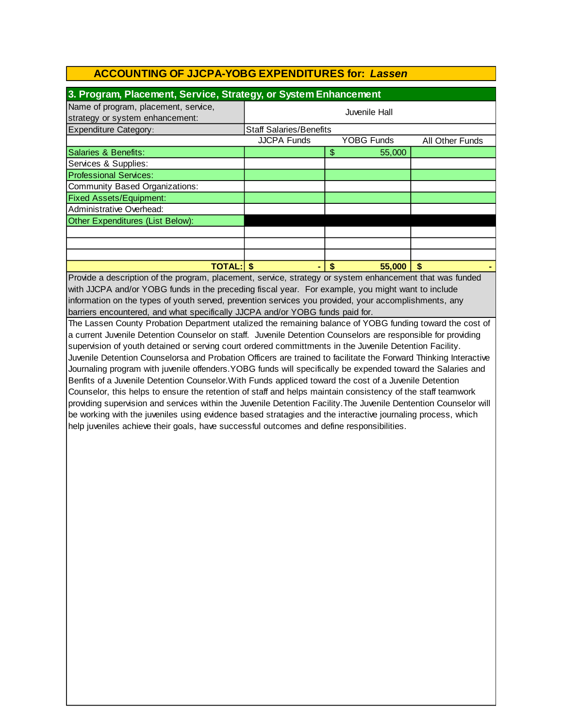| 3. Program, Placement, Service, Strategy, or System Enhancement         |                                |                   |                 |  |  |
|-------------------------------------------------------------------------|--------------------------------|-------------------|-----------------|--|--|
| Name of program, placement, service,<br>strategy or system enhancement: | Juvenile Hall                  |                   |                 |  |  |
| <b>Expenditure Category:</b>                                            | <b>Staff Salaries/Benefits</b> |                   |                 |  |  |
|                                                                         | <b>JJCPA Funds</b>             | <b>YOBG Funds</b> | All Other Funds |  |  |
| Salaries & Benefits:                                                    |                                | \$<br>55,000      |                 |  |  |
| Services & Supplies:                                                    |                                |                   |                 |  |  |
| <b>Professional Services:</b>                                           |                                |                   |                 |  |  |
| Community Based Organizations:                                          |                                |                   |                 |  |  |
| <b>Fixed Assets/Equipment:</b>                                          |                                |                   |                 |  |  |
| Administrative Overhead:                                                |                                |                   |                 |  |  |
| Other Expenditures (List Below):                                        |                                |                   |                 |  |  |
|                                                                         |                                |                   |                 |  |  |
|                                                                         |                                |                   |                 |  |  |
|                                                                         |                                |                   |                 |  |  |
| <b>TOTAL:</b>                                                           |                                | 55,000<br>S       | S               |  |  |

Provide a description of the program, placement, service, strategy or system enhancement that was funded with JJCPA and/or YOBG funds in the preceding fiscal year. For example, you might want to include barriers encountered, and what specifically JJCPA and/or YOBG funds paid for. information on the types of youth served, prevention services you provided, your accomplishments, any

The Lassen County Probation Department utalized the remaining balance of YOBG funding toward the cost of a current Juvenile Detention Counselor on staff. Juvenile Detention Counselors are responsible for providing supervision of youth detained or serving court ordered committments in the Juvenile Detention Facility. Juvenile Detention Counselorsa and Probation Officers are trained to facilitate the Forward Thinking Interactive Journaling program with juvenile offenders.YOBG funds will specifically be expended toward the Salaries and Benfits of a Juvenile Detention Counselor.With Funds appliced toward the cost of a Juvenile Detention Counselor, this helps to ensure the retention of staff and helps maintain consistency of the staff teamwork providing supervision and services within the Juvenile Detention Facility.The Juvenile Dentention Counselor will be working with the juveniles using evidence based stratagies and the interactive journaling process, which help juveniles achieve their goals, have successful outcomes and define responsibilities.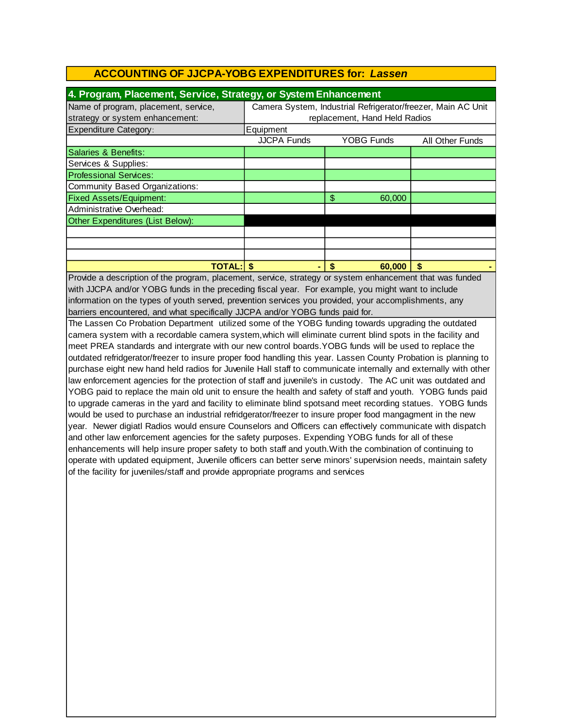| 4. Program, Placement, Service, Strategy, or System Enhancement |                                                              |                   |                 |  |  |
|-----------------------------------------------------------------|--------------------------------------------------------------|-------------------|-----------------|--|--|
| Name of program, placement, service,                            | Camera System, Industrial Refrigerator/freezer, Main AC Unit |                   |                 |  |  |
| strategy or system enhancement:                                 | replacement, Hand Held Radios                                |                   |                 |  |  |
| <b>Expenditure Category:</b>                                    | Equipment                                                    |                   |                 |  |  |
|                                                                 | <b>JJCPA Funds</b>                                           | <b>YOBG Funds</b> | All Other Funds |  |  |
| Salaries & Benefits:                                            |                                                              |                   |                 |  |  |
| Services & Supplies:                                            |                                                              |                   |                 |  |  |
| <b>Professional Services:</b>                                   |                                                              |                   |                 |  |  |
| Community Based Organizations:                                  |                                                              |                   |                 |  |  |
| <b>Fixed Assets/Equipment:</b>                                  |                                                              | \$<br>60,000      |                 |  |  |
| Administrative Overhead:                                        |                                                              |                   |                 |  |  |
| Other Expenditures (List Below):                                |                                                              |                   |                 |  |  |
|                                                                 |                                                              |                   |                 |  |  |
|                                                                 |                                                              |                   |                 |  |  |
|                                                                 |                                                              |                   |                 |  |  |
| <b>TOTAL: S</b>                                                 |                                                              | 60,000<br>\$      | S               |  |  |

Provide a description of the program, placement, service, strategy or system enhancement that was funded with JJCPA and/or YOBG funds in the preceding fiscal year. For example, you might want to include information on the types of youth served, prevention services you provided, your accomplishments, any barriers encountered, and what specifically JJCPA and/or YOBG funds paid for.

The Lassen Co Probation Department utilized some of the YOBG funding towards upgrading the outdated camera system with a recordable camera system,which will eliminate current blind spots in the facility and meet PREA standards and intergrate with our new control boards.YOBG funds will be used to replace the outdated refridgerator/freezer to insure proper food handling this year. Lassen County Probation is planning to purchase eight new hand held radios for Juvenile Hall staff to communicate internally and externally with other law enforcement agencies for the protection of staff and juvenile's in custody. The AC unit was outdated and YOBG paid to replace the main old unit to ensure the health and safety of staff and youth. YOBG funds paid to upgrade cameras in the yard and facility to eliminate blind spotsand meet recording statues. YOBG funds would be used to purchase an industrial refridgerator/freezer to insure proper food mangagment in the new year. Newer digiatl Radios would ensure Counselors and Officers can effectively communicate with dispatch and other law enforcement agencies for the safety purposes. Expending YOBG funds for all of these enhancements will help insure proper safety to both staff and youth.With the combination of continuing to operate with updated equipment, Juvenile officers can better serve minors' supervision needs, maintain safety of the facility for juveniles/staff and provide appropriate programs and services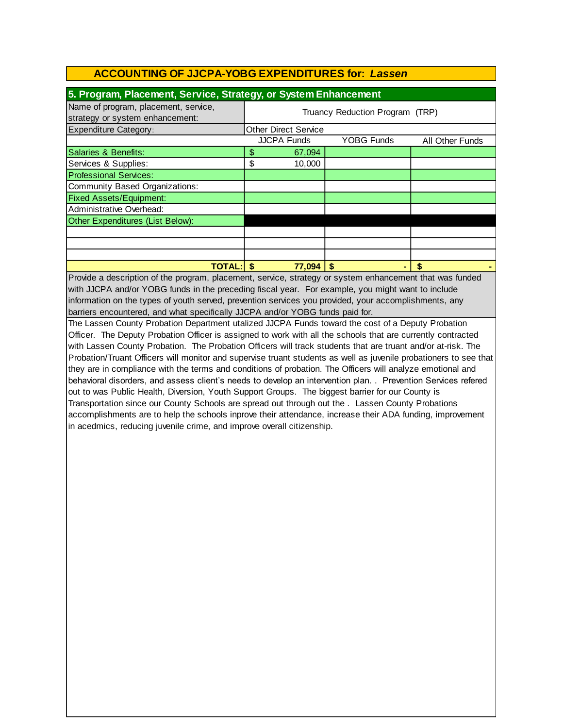| 5. Program, Placement, Service, Strategy, or System Enhancement         |                                 |                             |                   |                 |  |
|-------------------------------------------------------------------------|---------------------------------|-----------------------------|-------------------|-----------------|--|
| Name of program, placement, service,<br>strategy or system enhancement: | Truancy Reduction Program (TRP) |                             |                   |                 |  |
| <b>Expenditure Category:</b>                                            |                                 | <b>Other Direct Service</b> |                   |                 |  |
|                                                                         |                                 | <b>JJCPA Funds</b>          | <b>YOBG Funds</b> | All Other Funds |  |
| Salaries & Benefits:                                                    | \$                              | 67,094                      |                   |                 |  |
| Services & Supplies:                                                    | \$                              | 10,000                      |                   |                 |  |
| <b>Professional Services:</b>                                           |                                 |                             |                   |                 |  |
| Community Based Organizations:                                          |                                 |                             |                   |                 |  |
| <b>Fixed Assets/Equipment:</b>                                          |                                 |                             |                   |                 |  |
| Administrative Overhead:                                                |                                 |                             |                   |                 |  |
| Other Expenditures (List Below):                                        |                                 |                             |                   |                 |  |
|                                                                         |                                 |                             |                   |                 |  |
|                                                                         |                                 |                             |                   |                 |  |
|                                                                         |                                 |                             |                   |                 |  |
| <b>TOTAL:</b>                                                           |                                 | 77,094                      |                   |                 |  |

with JJCPA and/or YOBG funds in the preceding fiscal year. For example, you might want to include information on the types of youth served, prevention services you provided, your accomplishments, any barriers encountered, and what specifically JJCPA and/or YOBG funds paid for. Provide a description of the program, placement, service, strategy or system enhancement that was funded

The Lassen County Probation Department utalized JJCPA Funds toward the cost of a Deputy Probation Officer. The Deputy Probation Officer is assigned to work with all the schools that are currently contracted with Lassen County Probation. The Probation Officers will track students that are truant and/or at-risk. The Probation/Truant Officers will monitor and supervise truant students as well as juvenile probationers to see that they are in compliance with the terms and conditions of probation. The Officers will analyze emotional and behavioral disorders, and assess client's needs to develop an intervention plan. . Prevention Services refered out to was Public Health, Diversion, Youth Support Groups. The biggest barrier for our County is Transportation since our County Schools are spread out through out the . Lassen County Probations accomplishments are to help the schools inprove their attendance, increase their ADA funding, improvement in acedmics, reducing juvenile crime, and improve overall citizenship.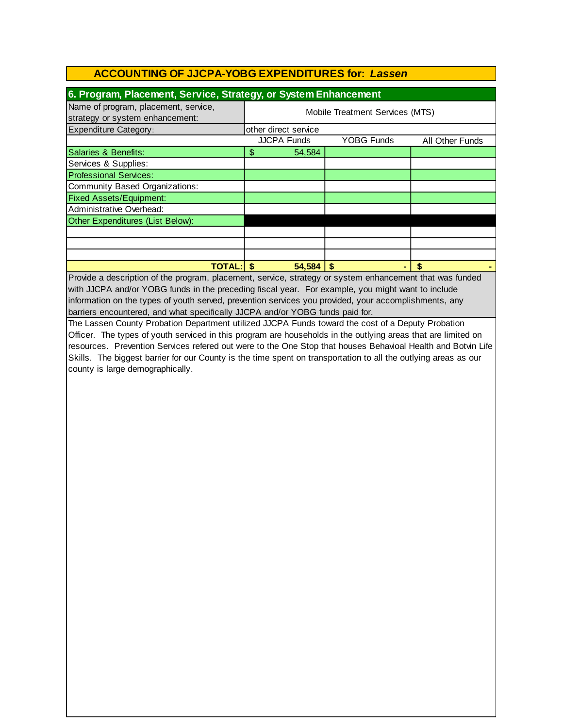| 6. Program, Placement, Service, Strategy, or System Enhancement         |                                 |        |            |                 |  |  |  |
|-------------------------------------------------------------------------|---------------------------------|--------|------------|-----------------|--|--|--|
| Name of program, placement, service,<br>strategy or system enhancement: | Mobile Treatment Services (MTS) |        |            |                 |  |  |  |
| Expenditure Category:                                                   | other direct service            |        |            |                 |  |  |  |
|                                                                         | <b>JJCPA Funds</b>              |        | YOBG Funds | All Other Funds |  |  |  |
| Salaries & Benefits:                                                    | \$                              | 54,584 |            |                 |  |  |  |
| Services & Supplies:                                                    |                                 |        |            |                 |  |  |  |
| <b>Professional Services:</b>                                           |                                 |        |            |                 |  |  |  |
| Community Based Organizations:                                          |                                 |        |            |                 |  |  |  |
| <b>Fixed Assets/Equipment:</b>                                          |                                 |        |            |                 |  |  |  |
| Administrative Overhead:                                                |                                 |        |            |                 |  |  |  |
| Other Expenditures (List Below):                                        |                                 |        |            |                 |  |  |  |
|                                                                         |                                 |        |            |                 |  |  |  |
|                                                                         |                                 |        |            |                 |  |  |  |
|                                                                         |                                 |        |            |                 |  |  |  |
| <b>TOTAL:</b>                                                           |                                 | 54,584 |            |                 |  |  |  |

Provide a description of the program, placement, service, strategy or system enhancement that was funded with JJCPA and/or YOBG funds in the preceding fiscal year. For example, you might want to include information on the types of youth served, prevention services you provided, your accomplishments, any barriers encountered, and what specifically JJCPA and/or YOBG funds paid for.

The Lassen County Probation Department utilized JJCPA Funds toward the cost of a Deputy Probation Officer. The types of youth serviced in this program are households in the outlying areas that are limited on resources. Prevention Services refered out were to the One Stop that houses Behavioal Health and Botvin Life Skills. The biggest barrier for our County is the time spent on transportation to all the outlying areas as our county is large demographically.